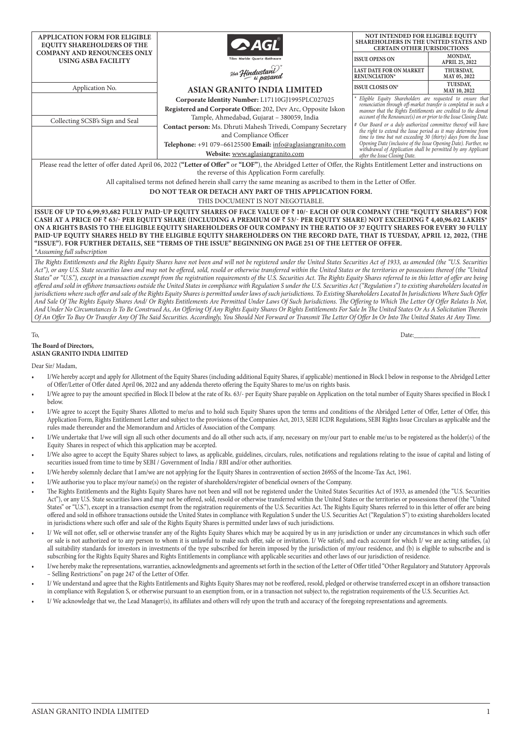| <b>APPLICATION FORM FOR ELIGIBLE</b>                                                                                                                               |                                                                                                                          | NOT INTENDED FOR ELIGIBLE EQUITY<br><b>SHAREHOLDERS IN THE UNITED STATES AND</b>                                                                                                                       |                           |  |  |  |  |  |  |  |
|--------------------------------------------------------------------------------------------------------------------------------------------------------------------|--------------------------------------------------------------------------------------------------------------------------|--------------------------------------------------------------------------------------------------------------------------------------------------------------------------------------------------------|---------------------------|--|--|--|--|--|--|--|
| <b>EQUITY SHAREHOLDERS OF THE</b>                                                                                                                                  | $\bullet$ AGI                                                                                                            | <b>CERTAIN OTHER JURISDICTIONS</b>                                                                                                                                                                     |                           |  |  |  |  |  |  |  |
| <b>COMPANY AND RENOUNCEES ONLY</b><br><b>USING ASBA FACILITY</b>                                                                                                   | Tiles - Marble - Quartz - Bathware                                                                                       | <b>ISSUE OPENS ON</b>                                                                                                                                                                                  | MONDAY.<br>APRIL 25, 2022 |  |  |  |  |  |  |  |
|                                                                                                                                                                    | <sub>Har</sub> Hindustani <sup>)</sup><br><sub>ti p</sub> asand                                                          | <b>LAST DATE FOR ON MARKET</b><br>RENUNCIATION*                                                                                                                                                        | THURSDAY,<br>MAY 05, 2022 |  |  |  |  |  |  |  |
| Application No.                                                                                                                                                    | <b>ASIAN GRANITO INDIA LIMITED</b>                                                                                       | <b>ISSUE CLOSES ON*</b>                                                                                                                                                                                | TUESDAY,<br>MAY 10, 2022  |  |  |  |  |  |  |  |
|                                                                                                                                                                    | Eligible Equity Shareholders are requested to ensure that                                                                |                                                                                                                                                                                                        |                           |  |  |  |  |  |  |  |
|                                                                                                                                                                    | Registered and Corporate Office: 202, Dev Arc, Opposite Iskon                                                            | renunciation through off-market transfer is completed in such a<br>manner that the Rights Entitlements are credited to the demat<br>account of the Renouncee(s) on or prior to the Issue Closing Date. |                           |  |  |  |  |  |  |  |
| Collecting SCSB's Sign and Seal                                                                                                                                    | Tample, Ahmedabad, Gujarat - 380059, India                                                                               |                                                                                                                                                                                                        |                           |  |  |  |  |  |  |  |
|                                                                                                                                                                    | Contact person: Ms. Dhruti Mahesh Trivedi, Company Secretary                                                             | # Our Board or a duly authorized committee thereof will have<br>the right to extend the Issue period as it may determine from<br>time to time but not exceeding 30 (thirty) days from the Issue        |                           |  |  |  |  |  |  |  |
|                                                                                                                                                                    | and Compliance Officer                                                                                                   |                                                                                                                                                                                                        |                           |  |  |  |  |  |  |  |
|                                                                                                                                                                    | Telephone: +91 079-66125500 Email: info@aglasiangranito.com                                                              | Opening Date (inclusive of the Issue Opening Date). Further, no<br>withdrawal of Application shall be permitted by any Applicant                                                                       |                           |  |  |  |  |  |  |  |
| Website: www.aglasiangranito.com<br>after the Issue Closing Date.                                                                                                  |                                                                                                                          |                                                                                                                                                                                                        |                           |  |  |  |  |  |  |  |
| Please read the letter of offer dated April 06, 2022 ("Letter of Offer" or "LOF"), the Abridged Letter of Offer, the Rights Entitlement Letter and instructions on |                                                                                                                          |                                                                                                                                                                                                        |                           |  |  |  |  |  |  |  |
| the reverse of this Application Form carefully.                                                                                                                    |                                                                                                                          |                                                                                                                                                                                                        |                           |  |  |  |  |  |  |  |
| All capitalised terms not defined herein shall carry the same meaning as ascribed to them in the Letter of Offer.                                                  |                                                                                                                          |                                                                                                                                                                                                        |                           |  |  |  |  |  |  |  |
| DO NOT TEAR OR DETACH ANY PART OF THIS APPLICATION FORM.                                                                                                           |                                                                                                                          |                                                                                                                                                                                                        |                           |  |  |  |  |  |  |  |
| THIS DOCUMENT IS NOT NEGOTIABLE.                                                                                                                                   |                                                                                                                          |                                                                                                                                                                                                        |                           |  |  |  |  |  |  |  |
| ISSUE OF UP TO 6,99,93,682 FULLY PAID-UP EQUITY SHARES OF FACE VALUE OF ₹ 10/- EACH OF OUR COMPANY (THE "EQUITY SHARES") FOR                                       |                                                                                                                          |                                                                                                                                                                                                        |                           |  |  |  |  |  |  |  |
| CASH AT A PRICE OF ₹ 63/- PER EQUITY SHARE (INCLUDING A PREMIUM OF ₹ 53/- PER EQUITY SHARE) NOT EXCEEDING ₹ 4,40,96.02 LAKHS*                                      |                                                                                                                          |                                                                                                                                                                                                        |                           |  |  |  |  |  |  |  |
| ON A RIGHTS BASIS TO THE ELIGIBLE EQUITY SHAREHOLDERS OF OUR COMPANY IN THE RATIO OF 37 EQUITY SHARES FOR EVERY 30 FULLY                                           |                                                                                                                          |                                                                                                                                                                                                        |                           |  |  |  |  |  |  |  |
|                                                                                                                                                                    | PAID-UP EQUITY SHARES HELD BY THE ELIGIBLE EQUITY SHAREHOLDERS ON THE RECORD DATE, THAT IS TUESDAY, APRIL 12, 2022, (THE |                                                                                                                                                                                                        |                           |  |  |  |  |  |  |  |
|                                                                                                                                                                    | "ISSUE"). FOR FURTHER DETAILS, SEE "TERMS OF THE ISSUE" BEGINNING ON PAGE 251 OF THE LETTER OF OFFER.                    |                                                                                                                                                                                                        |                           |  |  |  |  |  |  |  |
| *Assuming full subscription                                                                                                                                        |                                                                                                                          |                                                                                                                                                                                                        |                           |  |  |  |  |  |  |  |

*The Rights Entitlements and the Rights Equity Shares have not been and will not be registered under the United States Securities Act of 1933, as amended (the "U.S. Securities*  Act"), or any U.S. State securities laws and may not be offered, sold, resold or otherwise transferred within the United States or the territories or possessions thereof (the "United *States" or "U.S."), except in a transaction exempt from the registration requirements of the U.S. Securities Act. The Rights Equity Shares referred to in this letter of offer are being offered and sold in offshore transactions outside the United States in compliance with Regulation S under the U.S. Securities Act ("Regulation s") to existing shareholders located in jurisdictions where such offer and sale of the Rights Equity Shares is permitted under laws of such jurisdictions. To Existing Shareholders Located In Jurisdictions Where Such Offer And Sale Of The Rights Equity Shares And/ Or Rights Entitlements Are Permitted Under Laws Of Such Jurisdictions. The Offering to Which The Letter Of Offer Relates Is Not, And Under No Circumstances Is To Be Construed As, An Offering Of Any Rights Equity Shares Or Rights Entitlements For Sale In The United States Or As A Solicitation Therein Of An Offer To Buy Or Transfer Any Of The Said Securities. Accordingly, You Should Not Forward or Transmit The Letter Of Offer In Or Into The United States At Any Time.*

## To, Date:\_\_\_\_\_\_\_\_\_\_\_\_\_\_\_\_\_\_\_\_\_

#### **The Board of Directors, ASIAN GRANITO INDIA LIMITED**

Dear Sir/ Madam,

- I/We hereby accept and apply for Allotment of the Equity Shares (including additional Equity Shares, if applicable) mentioned in Block I below in response to the Abridged Letter of Offer/Letter of Offer dated April 06, 2022 and any addenda thereto offering the Equity Shares to me/us on rights basis.
- I/We agree to pay the amount specified in Block II below at the rate of Rs. 63/- per Equity Share payable on Application on the total number of Equity Shares specified in Block I below.
- I/We agree to accept the Equity Shares Allotted to me/us and to hold such Equity Shares upon the terms and conditions of the Abridged Letter of Offer, Letter of Offer, this Application Form, Rights Entitlement Letter and subject to the provisions of the Companies Act, 2013, SEBI ICDR Regulations, SEBI Rights Issue Circulars as applicable and the rules made thereunder and the Memorandum and Articles of Association of the Company.
- I/We undertake that I/we will sign all such other documents and do all other such acts, if any, necessary on my/our part to enable me/us to be registered as the holder(s) of the Equity Shares in respect of which this application may be accepted.
- I/We also agree to accept the Equity Shares subject to laws, as applicable, guidelines, circulars, rules, notifications and regulations relating to the issue of capital and listing of securities issued from time to time by SEBI / Government of India / RBI and/or other authorities.
- I/We hereby solemnly declare that I am/we are not applying for the Equity Shares in contravention of section 269SS of the Income-Tax Act, 1961.
- I/We authorise you to place my/our name(s) on the register of shareholders/register of beneficial owners of the Company.
- The Rights Entitlements and the Rights Equity Shares have not been and will not be registered under the United States Securities Act of 1933, as amended (the "U.S. Securities Act"), or any U.S. State securities laws and may not be offered, sold, resold or otherwise transferred within the United States or the territories or possessions thereof (the "United States" or "U.S."), except in a transaction exempt from the registration requirements of the U.S. Securities Act. The Rights Equity Shares referred to in this letter of offer are being offered and sold in offshore transactions outside the United States in compliance with Regulation S under the U.S. Securities Act ("Regulation S") to existing shareholders located in jurisdictions where such offer and sale of the Rights Equity Shares is permitted under laws of such jurisdictions.
- I/ We will not offer, sell or otherwise transfer any of the Rights Equity Shares which may be acquired by us in any jurisdiction or under any circumstances in which such offer or sale is not authorized or to any person to whom it is unlawful to make such offer, sale or invitation. I/ We satisfy, and each account for which I/ we are acting satisfies, (a) all suitability standards for investors in investments of the type subscribed for herein imposed by the jurisdiction of my/our residence, and (b) is eligible to subscribe and is subscribing for the Rights Equity Shares and Rights Entitlements in compliance with applicable securities and other laws of our jurisdiction of residence.
- I/we hereby make the representations, warranties, acknowledgments and agreements set forth in the section of the Letter of Offer titled "Other Regulatory and Statutory Approvals – Selling Restrictions" on page 247 of the Letter of Offer.
- I/ We understand and agree that the Rights Entitlements and Rights Equity Shares may not be reoffered, resold, pledged or otherwise transferred except in an offshore transaction in compliance with Regulation S, or otherwise pursuant to an exemption from, or in a transaction not subject to, the registration requirements of the U.S. Securities Act.
- I/ We acknowledge that we, the Lead Manager(s), its affiliates and others will rely upon the truth and accuracy of the foregoing representations and agreements.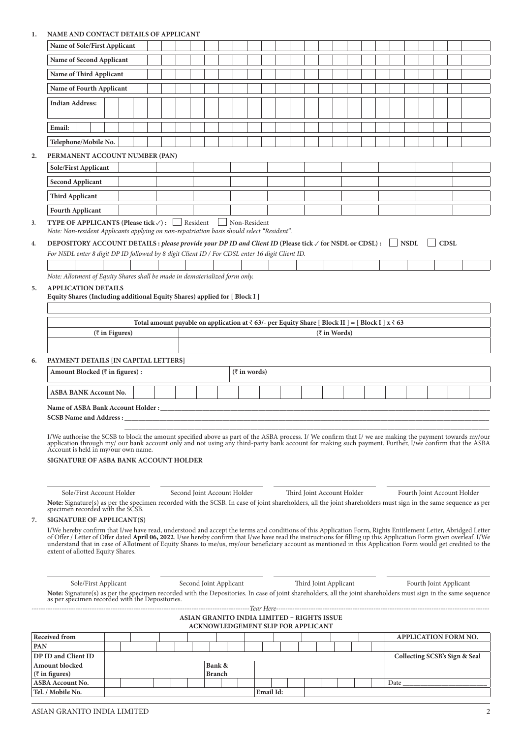## **1. NAME AND CONTACT DETAILS OF APPLICANT**

|     | Name of Sole/First Applicant                                                                                                                                                                                                                                                                                                                                                                                                                                                                                                           |                        |                                                                                                                        |  |  |               |                        |                                            |  |                            |                       |              |  |      |                               |             |  |
|-----|----------------------------------------------------------------------------------------------------------------------------------------------------------------------------------------------------------------------------------------------------------------------------------------------------------------------------------------------------------------------------------------------------------------------------------------------------------------------------------------------------------------------------------------|------------------------|------------------------------------------------------------------------------------------------------------------------|--|--|---------------|------------------------|--------------------------------------------|--|----------------------------|-----------------------|--------------|--|------|-------------------------------|-------------|--|
|     | Name of Second Applicant                                                                                                                                                                                                                                                                                                                                                                                                                                                                                                               |                        |                                                                                                                        |  |  |               |                        |                                            |  |                            |                       |              |  |      |                               |             |  |
|     | Name of Third Applicant                                                                                                                                                                                                                                                                                                                                                                                                                                                                                                                |                        |                                                                                                                        |  |  |               |                        |                                            |  |                            |                       |              |  |      |                               |             |  |
|     |                                                                                                                                                                                                                                                                                                                                                                                                                                                                                                                                        |                        |                                                                                                                        |  |  |               |                        |                                            |  |                            |                       |              |  |      |                               |             |  |
|     | Name of Fourth Applicant                                                                                                                                                                                                                                                                                                                                                                                                                                                                                                               |                        |                                                                                                                        |  |  |               |                        |                                            |  |                            |                       |              |  |      |                               |             |  |
|     | <b>Indian Address:</b>                                                                                                                                                                                                                                                                                                                                                                                                                                                                                                                 |                        |                                                                                                                        |  |  |               |                        |                                            |  |                            |                       |              |  |      |                               |             |  |
|     | Email:                                                                                                                                                                                                                                                                                                                                                                                                                                                                                                                                 |                        |                                                                                                                        |  |  |               |                        |                                            |  |                            |                       |              |  |      |                               |             |  |
|     | Telephone/Mobile No.                                                                                                                                                                                                                                                                                                                                                                                                                                                                                                                   |                        |                                                                                                                        |  |  |               |                        |                                            |  |                            |                       |              |  |      |                               |             |  |
| 2.  | PERMANENT ACCOUNT NUMBER (PAN)                                                                                                                                                                                                                                                                                                                                                                                                                                                                                                         |                        |                                                                                                                        |  |  |               |                        |                                            |  |                            |                       |              |  |      |                               |             |  |
|     | Sole/First Applicant                                                                                                                                                                                                                                                                                                                                                                                                                                                                                                                   |                        |                                                                                                                        |  |  |               |                        |                                            |  |                            |                       |              |  |      |                               |             |  |
|     | <b>Second Applicant</b>                                                                                                                                                                                                                                                                                                                                                                                                                                                                                                                |                        |                                                                                                                        |  |  |               |                        |                                            |  |                            |                       |              |  |      |                               |             |  |
|     | <b>Third Applicant</b>                                                                                                                                                                                                                                                                                                                                                                                                                                                                                                                 |                        |                                                                                                                        |  |  |               |                        |                                            |  |                            |                       |              |  |      |                               |             |  |
|     | <b>Fourth Applicant</b>                                                                                                                                                                                                                                                                                                                                                                                                                                                                                                                |                        |                                                                                                                        |  |  |               |                        |                                            |  |                            |                       |              |  |      |                               |             |  |
| 3.  | <b>TYPE OF APPLICANTS (Please tick <math>\checkmark</math>):</b> Resident<br>Note: Non-resident Applicants applying on non-repatriation basis should select "Resident".                                                                                                                                                                                                                                                                                                                                                                |                        |                                                                                                                        |  |  |               |                        | Non-Resident                               |  |                            |                       |              |  |      |                               |             |  |
| 4.  | DEPOSITORY ACCOUNT DETAILS : please provide your DP ID and Client ID (Please tick $\checkmark$ for NSDL or CDSL) :<br>NSDL                                                                                                                                                                                                                                                                                                                                                                                                             |                        |                                                                                                                        |  |  |               |                        |                                            |  |                            |                       |              |  |      |                               | <b>CDSL</b> |  |
|     | For NSDL enter 8 digit DP ID followed by 8 digit Client ID / For CDSL enter 16 digit Client ID.                                                                                                                                                                                                                                                                                                                                                                                                                                        |                        |                                                                                                                        |  |  |               |                        |                                            |  |                            |                       |              |  |      |                               |             |  |
|     |                                                                                                                                                                                                                                                                                                                                                                                                                                                                                                                                        |                        |                                                                                                                        |  |  |               |                        |                                            |  |                            |                       |              |  |      |                               |             |  |
| 5.  | Note: Allotment of Equity Shares shall be made in dematerialized form only.<br><b>APPLICATION DETAILS</b><br>Equity Shares (Including additional Equity Shares) applied for [ Block I ]                                                                                                                                                                                                                                                                                                                                                |                        |                                                                                                                        |  |  |               |                        |                                            |  |                            |                       |              |  |      |                               |             |  |
|     |                                                                                                                                                                                                                                                                                                                                                                                                                                                                                                                                        |                        |                                                                                                                        |  |  |               |                        |                                            |  |                            |                       |              |  |      |                               |             |  |
|     |                                                                                                                                                                                                                                                                                                                                                                                                                                                                                                                                        | $(\bar{z}$ in Figures) | Total amount payable on application at $\bar{\tau}$ 63/- per Equity Share [ Block II ] = [ Block I ] x $\bar{\tau}$ 63 |  |  |               |                        |                                            |  |                            |                       | (₹ in Words) |  |      |                               |             |  |
|     |                                                                                                                                                                                                                                                                                                                                                                                                                                                                                                                                        |                        |                                                                                                                        |  |  |               |                        |                                            |  |                            |                       |              |  |      |                               |             |  |
|     |                                                                                                                                                                                                                                                                                                                                                                                                                                                                                                                                        |                        |                                                                                                                        |  |  |               |                        |                                            |  |                            |                       |              |  |      |                               |             |  |
| 6.  | PAYMENT DETAILS [IN CAPITAL LETTERS]<br>Amount Blocked (₹ in figures) :                                                                                                                                                                                                                                                                                                                                                                                                                                                                |                        |                                                                                                                        |  |  |               |                        | $(\bar{z}$ in words)                       |  |                            |                       |              |  |      |                               |             |  |
|     | ASBA BANK Account No.                                                                                                                                                                                                                                                                                                                                                                                                                                                                                                                  |                        |                                                                                                                        |  |  |               |                        |                                            |  |                            |                       |              |  |      |                               |             |  |
|     | Name of ASBA Bank Account Holder :                                                                                                                                                                                                                                                                                                                                                                                                                                                                                                     |                        |                                                                                                                        |  |  |               |                        |                                            |  |                            |                       |              |  |      |                               |             |  |
|     | <b>SCSB Name and Address : __</b>                                                                                                                                                                                                                                                                                                                                                                                                                                                                                                      |                        |                                                                                                                        |  |  |               |                        |                                            |  |                            |                       |              |  |      |                               |             |  |
|     | I/We authorise the SCSB to block the amount specified above as part of the ASBA process. I/We confirm that I/we are making the payment towards my/our application through my/ our bank account only and not using any third-pa<br>Account is held in my/our own name.<br>SIGNATURE OF ASBA BANK ACCOUNT HOLDER                                                                                                                                                                                                                         |                        |                                                                                                                        |  |  |               |                        |                                            |  |                            |                       |              |  |      |                               |             |  |
|     | Sole/First Account Holder<br>Note: Signature(s) as per the specimen recorded with the SCSB. In case of joint shareholders, all the joint shareholders must sign in the same sequence as per<br>specimen recorded with the SCSB.                                                                                                                                                                                                                                                                                                        |                        |                                                                                                                        |  |  |               |                        | Second Joint Account Holder                |  | Third Joint Account Holder |                       |              |  |      | Fourth Joint Account Holder   |             |  |
| 7.  | <b>SIGNATURE OF APPLICANT(S)</b>                                                                                                                                                                                                                                                                                                                                                                                                                                                                                                       |                        |                                                                                                                        |  |  |               |                        |                                            |  |                            |                       |              |  |      |                               |             |  |
|     | I/We hereby confirm that I/we have read, understood and accept the terms and conditions of this Application Form, Rights Entitlement Letter, Abridged Letter<br>of Offer / Letter of Offer dated April 06, 2022. I/we hereby confirm that I/we have read the instructions for filling up this Application Form given overleaf. I/We<br>understand that in case of Allotment of Equity Shares to me/us, my/our beneficiary account as mentioned in this Application Form would get credited to the<br>extent of allotted Equity Shares. |                        |                                                                                                                        |  |  |               |                        |                                            |  |                            |                       |              |  |      |                               |             |  |
|     |                                                                                                                                                                                                                                                                                                                                                                                                                                                                                                                                        |                        |                                                                                                                        |  |  |               |                        |                                            |  |                            |                       |              |  |      |                               |             |  |
|     | Sole/First Applicant<br>Note: Signature(s) as per the specimen recorded with the Depositories. In case of joint shareholders, all the joint shareholders must sign in the same sequence as per specimen recorded with the Depositories.                                                                                                                                                                                                                                                                                                |                        |                                                                                                                        |  |  |               | Second Joint Applicant |                                            |  |                            | Third Joint Applicant |              |  |      | Fourth Joint Applicant        |             |  |
|     |                                                                                                                                                                                                                                                                                                                                                                                                                                                                                                                                        |                        |                                                                                                                        |  |  |               |                        |                                            |  |                            |                       |              |  |      |                               |             |  |
|     |                                                                                                                                                                                                                                                                                                                                                                                                                                                                                                                                        |                        |                                                                                                                        |  |  |               |                        | ASIAN GRANITO INDIA LIMITED - RIGHTS ISSUE |  |                            |                       |              |  |      |                               |             |  |
|     | Received from                                                                                                                                                                                                                                                                                                                                                                                                                                                                                                                          |                        |                                                                                                                        |  |  |               |                        | ACKNOWLEDGEMENT SLIP FOR APPLICANT         |  |                            |                       |              |  |      | APPLICATION FORM NO.          |             |  |
| PAN |                                                                                                                                                                                                                                                                                                                                                                                                                                                                                                                                        |                        |                                                                                                                        |  |  |               |                        |                                            |  |                            |                       |              |  |      |                               |             |  |
|     | DP ID and Client ID                                                                                                                                                                                                                                                                                                                                                                                                                                                                                                                    |                        |                                                                                                                        |  |  |               |                        |                                            |  |                            |                       |              |  |      | Collecting SCSB's Sign & Seal |             |  |
|     | Amount blocked<br>$(\bar{z}$ in figures)                                                                                                                                                                                                                                                                                                                                                                                                                                                                                               |                        |                                                                                                                        |  |  | Bank &        |                        |                                            |  |                            |                       |              |  |      |                               |             |  |
|     |                                                                                                                                                                                                                                                                                                                                                                                                                                                                                                                                        |                        |                                                                                                                        |  |  |               |                        |                                            |  |                            |                       |              |  |      |                               |             |  |
|     | <b>ASBA Account No.</b>                                                                                                                                                                                                                                                                                                                                                                                                                                                                                                                |                        |                                                                                                                        |  |  | <b>Branch</b> |                        |                                            |  |                            |                       |              |  | Date |                               |             |  |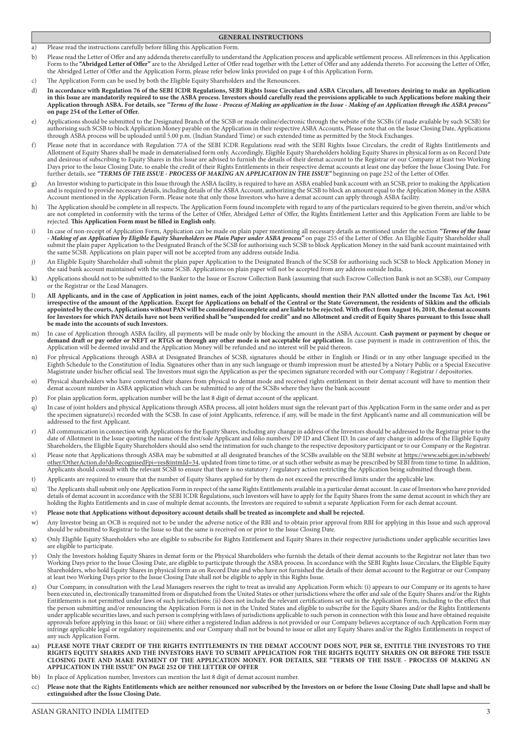# **GENERAL INSTRUCTIONS**

a) Please read the instructions carefully before filling this Application Form.

- b) Please read the Letter of Offer and any addenda thereto carefully to understand the Application process and applicable settlement process. All references in this Application Form to the "Abridged Letter of Offer" are to the Abridged Letter of Offer read together with the Letter of Offer and any addenda thereto. For accessing the Letter of Offer, the Abridged Letter of Offer and the Application Form, please refer below links provided on page 4 of this Application Form.
- c) The Application Form can be used by both the Eligible Equity Shareholders and the Renouncees.
- d) **In accordance with Regulation 76 of the SEBI ICDR Regulations, SEBI Rights Issue Circulars and ASBA Circulars, all Investors desiring to make an Application in this Issue are mandatorily required to use the ASBA process. Investors should carefully read the provisions applicable to such Applications before making their Application through ASBA. For details, see** *"Terms of the Issue - Process of Making an application in the Issue - Making of an Application through the ASBA process"* **on page 254 of the Letter of Offer.**
- e) Applications should be submitted to the Designated Branch of the SCSB or made online/electronic through the website of the SCSBs (if made available by such SCSB) for authorising such SCSB to block Application Money payable on the Application in their respective ASBA Accounts, Please note that on the Issue Closing Date, Applications through ASBA process will be uploaded until 5.00 p.m. (Indian Standard Time) or such extended time as permitted by the Stock Exchanges.
- f) Please note that in accordance with Regulation 77A of the SEBI ICDR Regulations read with the SEBI Rights Issue Circulars, the credit of Rights Entitlements and Allotment of Equity Shares shall be made in dematerialised form only. Accordingly, Eligible Equity Shareholders holding Equity Shares in physical form as on Record Date and desirous of subscribing to Equity Shares in this Issue are advised to furnish the details of their demat account to the Registrar or our Company at least two Working Days prior to the Issue Closing Date, to enable the credit of their Rights Entitlements in their respective demat accounts at least one day before the Issue Closing Date. For further details, see *"TERMS OF THE ISSUE - PROCESS OF MAKING AN APPLICATION IN THE ISSUE"* beginning on page 252 of the Letter of Offer.
- g) An Investor wishing to participate in this Issue through the ASBA facility, is required to have an ASBA enabled bank account with an SCSB, prior to making the Application and is required to provide necessary details, including details of the ASBA Account, authorizing the SCSB to block an amount equal to the Application Money in the ASBA Account mentioned in the Application Form. Please note that only those Investors who have a demat account can apply through ASBA facility.
- h) The Application should be complete in all respects. The Application Form found incomplete with regard to any of the particulars required to be given therein, and/or which are not completed in conformity with the terms of the Letter of Offer, Abridged Letter of Offer, the Rights Entitlement Letter and this Application Form are liable to be rejected. **This Application Form must be filled in English only.**
- i) In case of non-receipt of Application Form, Application can be made on plain paper mentioning all necessary details as mentioned under the section "Terms of the Issue *- Making of an Application by Eligible Equity Shareholders on Plain Paper under ASBA process"* on page 255 of the Letter of Offer. An Eligible Equity Shareholder shall submit the plain paper Application to the Designated Branch of the SCSB for authorising such SCSB to block Application Money in the said bank account maintained with the same SCSB. Applications on plain paper will not be accepted from any address outside India.
- j) An Eligible Equity Shareholder shall submit the plain paper Application to the Designated Branch of the SCSB for authorising such SCSB to block Application Money in the said bank account maintained with the same SCSB. Applications on plain paper will not be accepted from any address outside India.
- k) Applications should not to be submitted to the Banker to the Issue or Escrow Collection Bank (assuming that such Escrow Collection Bank is not an SCSB), our Company or the Registrar or the Lead Managers.
- l) **All Applicants, and in the case of Application in joint names, each of the joint Applicants, should mention their PAN allotted under the Income Tax Act, 1961 irrespective of the amount of the Application. Except for Applications on behalf of the Central or the State Government, the residents of Sikkim and the officials appointed by the courts, Applications without PAN will be considered incomplete and are liable to be rejected. With effect from August 16, 2010, the demat accounts**  for Investors for which PAN details have not been verified shall be "suspended for credit" and no Allotment and credit of Equity Shares pursuant to this Issue shall **be made into the accounts of such Investors.**
- m) In case of Application through ASBA facility, all payments will be made only by blocking the amount in the ASBA Account. **Cash payment or payment by cheque or demand draft or pay order or NEFT or RTGS or through any other mode is not acceptable for application**. In case payment is made in contravention of this, the Application will be deemed invalid and the Application Money will be refunded and no interest will be paid thereon.
- n) For physical Applications through ASBA at Designated Branches of SCSB, signatures should be either in English or Hindi or in any other language specified in the Eighth Schedule to the Constitution of India. Signatures other than in any such language or thumb impression must be attested by a Notary Public or a Special Executive Magistrate under his/her official seal. The Investors must sign the Application as per the specimen signature recorded with our Company / Registrar / depositories.
- o) Physical shareholders who have converted their shares from physical to demat mode and received rights entitlement in their demat account will have to mention their demat account number in ASBA application which can be submitted to any of the SCSBs where they have the bank account
- p) For plain application form, application number will be the last 8 digit of demat account of the applicant.
- q) In case of joint holders and physical Applications through ASBA process, all joint holders must sign the relevant part of this Application Form in the same order and as per the specimen signature(s) recorded with the SCSB. In case of joint Applicants, reference, if any, will be made in the first Applicant's name and all communication will be addressed to the first Applicant.
- r) All communication in connection with Applications for the Equity Shares, including any change in address of the Investors should be addressed to the Registrar prior to the date of Allotment in the Issue quoting the name of the first/sole Applicant and folio numbers/ DP ID and Client ID. In case of any change in address of the Eligible Equity Shareholders, the Eligible Equity Shareholders should also send the intimation for such change to the respective depository participant or to our Company or the Registrar.
- s) Please note that Applications through ASBA may be submitted at all designated branches of the SCSBs available on the SEBI website at https://www.sebi.gov.in/sebiweb/ other/OtherAction.do?doRecognisedFpi=yes&intmId=34, updated from time to time, or at such other website as may be prescribed by SEBI from time to time. In addition, Applicants should consult with the relevant SCSB to ensure that there is no statutory / regulatory action restricting the Application being submitted through them.
- t) Applicants are required to ensure that the number of Equity Shares applied for by them do not exceed the prescribed limits under the applicable law.
- u) The Applicants shall submit only one Application Form in respect of the same Rights Entitlements available in a particular demat account. In case of Investors who have provided details of demat account in accordance with the SEBI ICDR Regulations, such Investors will have to apply for the Equity Shares from the same demat account in which they are holding the Rights Entitlements and in case of multiple demat accounts, the Investors are required to submit a separate Application Form for each demat account.
- v) **Please note that Applications without depository account details shall be treated as incomplete and shall be rejected.**
- w) Any Investor being an OCB is required not to be under the adverse notice of the RBI and to obtain prior approval from RBI for applying in this Issue and such approval should be submitted to Registrar to the Issue so that the same is received on or prior to the Issue Closing Date.
- x) Only Eligible Equity Shareholders who are eligible to subscribe for Rights Entitlement and Equity Shares in their respective jurisdictions under applicable securities laws are eligible to participate.
- y) Only the Investors holding Equity Shares in demat form or the Physical Shareholders who furnish the details of their demat accounts to the Registrar not later than two Working Days prior to the Issue Closing Date, are eligible to participate through the ASBA process. In accordance with the SEBI Rights Issue Circulars, the Eligible Equity Shareholders, who hold Equity Shares in physical form as on Record Date and who have not furnished the details of their demat account to the Registrar or our Company at least two Working Days prior to the Issue Closing Date shall not be eligible to apply in this Rights Issue.
- z) Our Company, in consultation with the Lead Managers reserves the right to treat as invalid any Application Form which: (i) appears to our Company or its agents to have been executed in, electronically transmitted from or dispatched from the United States or other jurisdictions where the offer and sale of the Equity Shares and/or the Rights Entitlements is not permitted under laws of such jurisdictions; (ii) does not include the relevant certifications set out in the Application Form, including to the effect that the person submitting and/or renouncing the Application Form is not in the United States and eligible to subscribe for the Equity Shares and/or the Rights Entitlements under applicable securities laws, and such person is complying with laws of jurisdictions applicable to such person in connection with this Issue and have obtained requisite approvals before applying in this Issue; or (iii) where either a registered Indian address is not provided or our Company believes acceptance of such Application Form may infringe applicable legal or regulatory requirements; and our Company shall not be bound to issue or allot any Equity Shares and/or the Rights Entitlements in respect of any such Application Form.
- aa) **PLEASE NOTE THAT CREDIT OF THE RIGHTS ENTITLEMENTS IN THE DEMAT ACCOUNT DOES NOT, PER SE, ENTITLE THE INVESTORS TO THE RIGHTS EQUITY SHARES AND THE INVESTORS HAVE TO SUBMIT APPLICATION FOR THE RIGHTS EQUITY SHARES ON OR BEFORE THE ISSUE CLOSING DATE AND MAKE PAYMENT OF THE APPLICATION MONEY. FOR DETAILS, SEE "TERMS OF THE ISSUE - PROCESS OF MAKING AN APPLICATION IN THE ISSUE" ON PAGE 252 OF THE LETTER OF OFFER**
- bb) In place of Application number, Investors can mention the last 8 digit of demat account number.
- cc) **Please note that the Rights Entitlements which are neither renounced nor subscribed by the Investors on or before the Issue Closing Date shall lapse and shall be extinguished after the Issue Closing Date.**